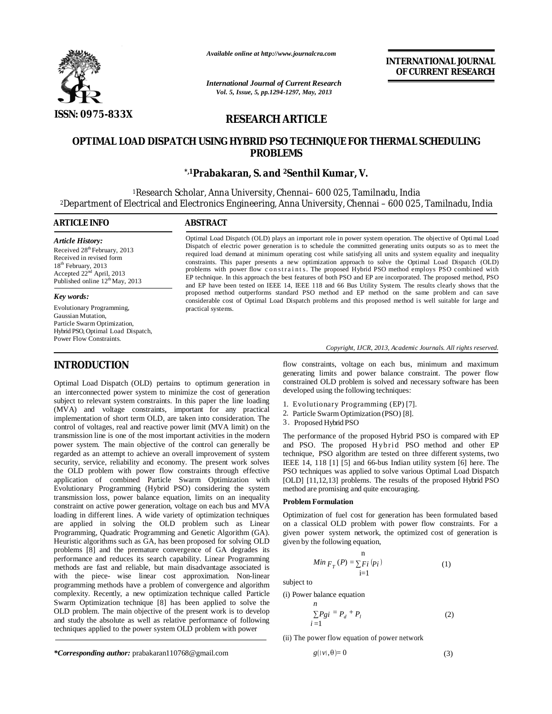

*Available online at http://www.journalcra.com*

*International Journal of Current Research Vol. 5, Issue, 5, pp.1294-1297, May, 2013*

**INTERNATIONAL JOURNAL OF CURRENT RESEARCH** 

# **RESEARCH ARTICLE**

# **OPTIMAL LOAD DISPATCH USING HYBRID PSO TECHNIQUE FOR THERMAL SCHEDULING PROBLEMS**

# **\*,1Prabakaran, S. and <sup>2</sup>Senthil Kumar, V.**

<sup>1</sup>Research Scholar, Anna University, Chennai– 600 025, Tamilnadu, India <sup>2</sup>Department of Electrical and Electronics Engineering, Anna University, Chennai – 600 025, Tamilnadu, India

# **ARTICLE INFO ABSTRACT** *Article History:* Received 28<sup>th</sup> February, 2013

Received in revised form 18<sup>th</sup> February, 2013 Accepted 22<sup>nd</sup> April, 2013 Published online 12<sup>th</sup> May, 2013

#### *Key words:*

Evolutionary Programming, Gaussian Mutation, Particle Swarm Optimization, Hybrid PSO, Optimal Load Dispatch, Power Flow Constraints.

# **INTRODUCTION**

Optimal Load Dispatch (OLD) pertains to optimum generation in an interconnected power system to minimize the cost of generation subject to relevant system constraints. In this paper the line loading (MVA) and voltage constraints, important for any practical implementation of short term OLD, are taken into consideration. The control of voltages, real and reactive power limit (MVA limit) on the transmission line is one of the most important activities in the modern power system. The main objective of the control can generally be regarded as an attempt to achieve an overall improvement of system security, service, reliability and economy. The present work solves the OLD problem with power flow constraints through effective application of combined Particle Swarm Optimization with Evolutionary Programming (Hybrid PSO) considering the system transmission loss, power balance equation, limits on an inequality constraint on active power generation, voltage on each bus and MVA loading in different lines. A wide variety of optimization techniques are applied in solving the OLD problem such as Linear Programming, Quadratic Programming and Genetic Algorithm (GA). Heuristic algorithms such as GA, has been proposed for solving OLD problems [8] and the premature convergence of GA degrades its performance and reduces its search capability. Linear Programming methods are fast and reliable, but main disadvantage associated is with the piece- wise linear cost approximation. Non-linear programming methods have a problem of convergence and algorithm complexity. Recently, a new optimization technique called Particle Swarm Optimization technique [8] has been applied to solve the OLD problem. The main objective of the present work is to develop and study the absolute as well as relative performance of following techniques applied to the power system OLD problem with power

Optimal Load Dispatch (OLD) plays an important role in power system operation. The objective of Optimal Load Dispatch of electric power generation is to schedule the committed generating units outputs so as to meet the required load demand at minimum operating cost while satisfying all units and system equality and inequality constraints. This paper presents a new optimization approach to solve the Optimal Load Dispatch (OLD) problems with power flow constraints. The proposed Hybrid PSO method employs PSO combined with EP technique. In this approach the best features of both PSO and EP are incorporated. The proposed method, PSO and EP have been tested on IEEE 14, IEEE 118 and 66 Bus Utility System. The results clearly shows that the proposed method outperforms standard PSO method and EP method on the same problem and can save considerable cost of Optimal Load Dispatch problems and this proposed method is well suitable for large and practical systems.

#### *Copyright, IJCR, 2013, Academic Journals. All rights reserved.*

flow constraints, voltage on each bus, minimum and maximum generating limits and power balance constraint. The power flow constrained OLD problem is solved and necessary software has been developed using the following techniques:

- 1. Evolutionary Programming (EP) [7].
- 2. Particle Swarm Optimization (PSO) [8].
- 3 . Proposed Hybrid PSO

The performance of the proposed Hybrid PSO is compared with EP and PSO. The proposed Hybrid PSO method and other EP technique, PSO algorithm are tested on three different systems, two IEEE 14, 118 [1] [5] and 66-bus Indian utility system [6] here. The PSO techniques was applied to solve various Optimal Load Dispatch [OLD] [11,12,13] problems. The results of the proposed Hybrid PSO method are promising and quite encouraging.

#### **Problem Formulation**

Optimization of fuel cost for generation has been formulated based on a classical OLD problem with power flow constraints. For a given power system network, the optimized cost of generation is given by the following equation,

$$
Min F_T(P) = \sum_{i=1}^{n} F_i(p_i)
$$
 (1)

subject to

(i) Power balance equation

*n*

$$
\sum Pgi = P_d + P_l \tag{2}
$$

(ii) The power flow equation of power network

$$
g(|\nu|, \theta) = 0 \tag{3}
$$

*\*Corresponding author:* prabakaran110768@gmail.com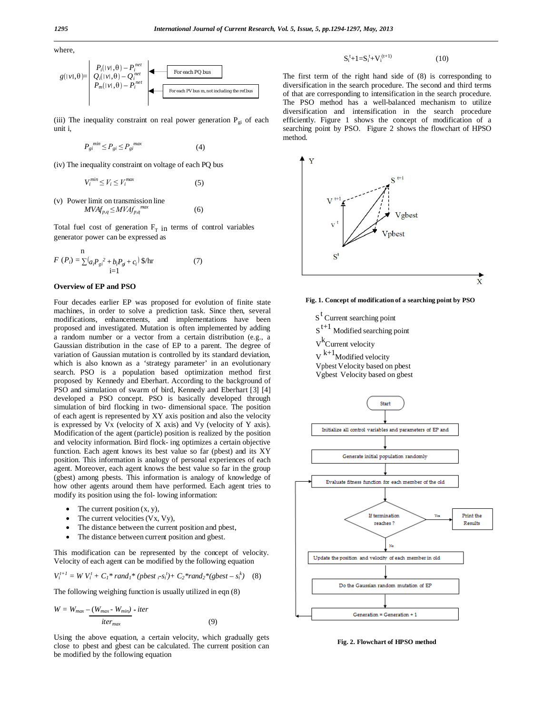where,

$$
g(|\nu|, \theta) = \begin{bmatrix} P_i(|\nu|, \theta) - P_i^{net} \\ Q_i(|\nu|, \theta) - Q_i^{net} \\ P_m(|\nu|, \theta) - P_i^{net} \end{bmatrix}
$$
 For each PO bus  
For each PV bus m, not including the refbus

(iii) The inequality constraint on real power generation  $P_{gi}$  of each unit i,

$$
P_{gi}^{min} \le P_{gi} \le P_{gi}^{max} \tag{4}
$$

(iv) The inequality constraint on voltage of each PQ bus

$$
V_i^{min} \le V_i \le V_i^{max} \tag{5}
$$

(v) Power limit on transmission line  $MVAf_{p,q} \leq MVAf_{p,q}^{max}$  (6)

Total fuel cost of generation  $F_T$  in terms of control variables generator power can be expressed as

$$
F(P_i) = \sum_{i=1}^{n} (a_i P_{gi}^2 + b_i P_{gi} + c_i)^2 \, \text{S/hr} \tag{7}
$$

#### **Overview of EP and PSO**

Four decades earlier EP was proposed for evolution of finite state machines, in order to solve a prediction task. Since then, several modifications, enhancements, and implementations have been proposed and investigated. Mutation is often implemented by adding a random number or a vector from a certain distribution (e.g., a Gaussian distribution in the case of EP to a parent. The degree of variation of Gaussian mutation is controlled by its standard deviation, which is also known as a 'strategy parameter' in an evolutionary search. PSO is a population based optimization method first proposed by Kennedy and Eberhart. According to the background of PSO and simulation of swarm of bird, Kennedy and Eberhart [3] [4] developed a PSO concept. PSO is basically developed through simulation of bird flocking in two- dimensional space. The position of each agent is represented by XY axis position and also the velocity is expressed by Vx (velocity of X axis) and Vy (velocity of Y axis). Modification of the agent (particle) position is realized by the position and velocity information. Bird flock- ing optimizes a certain objective function. Each agent knows its best value so far (pbest) and its XY position. This information is analogy of personal experiences of each agent. Moreover, each agent knows the best value so far in the group (gbest) among pbests. This information is analogy of knowledge of how other agents around them have performed. Each agent tries to modify its position using the fol- lowing information:

- The current position  $(x, y)$ ,
- The current velocities  $(Vx, Vy)$ ,
- The distance between the current position and pbest,
- The distance between current position and gbest.

This modification can be represented by the concept of velocity. Velocity of each agent can be modified by the following equation

$$
V_i^{t+1} = W V_i^t + C_1^* rand_1^* (pbest_{i^-} s_i^t) + C_2^* rand_2^* (gbest - s_i^k) \quad (8)
$$

The following weighing function is usually utilized in eqn (8)

$$
W = W_{max} - (W_{max} - W_{min}) * iter
$$
  

$$
iter_{max}
$$
 (9)

Using the above equation, a certain velocity, which gradually gets close to pbest and gbest can be calculated. The current position can be modified by the following equation

 $S_i^t + 1 = S_i^t + V_i^{(t+1)}$ (10)

The first term of the right hand side of (8) is corresponding to diversification in the search procedure. The second and third terms of that are corresponding to intensification in the search procedure. The PSO method has a well-balanced mechanism to utilize diversification and intensification in the search procedure efficiently. Figure 1 shows the concept of modification of a searching point by PSO. Figure 2 shows the flowchart of HPSO method.





S<sup>t</sup> Current searching point

- $S^{t+1}$  Modified searching point
- V<sup>k</sup>Current velocity
- $V^{k+1}$ Modified velocity
- Vpbest Velocity based on pbest
- Vgbest Velocity based on gbest



**Fig. 2. Flowchart of HPSO method**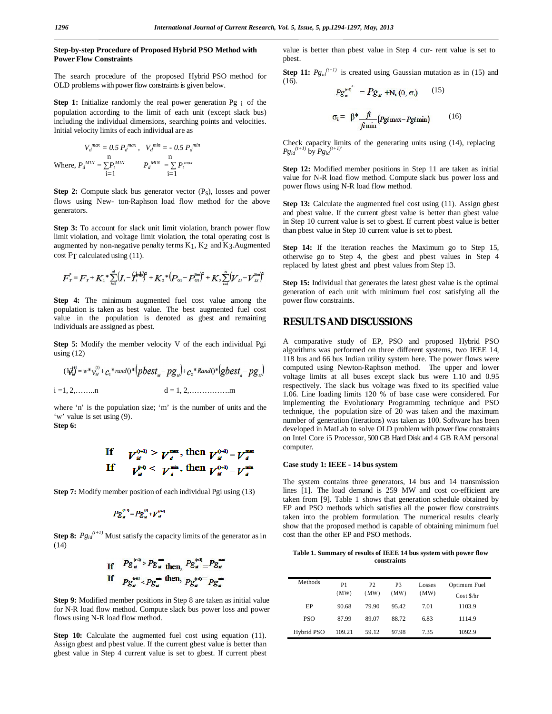### **Step-by-step Procedure of Proposed Hybrid PSO Method with Power Flow Constraints**

The search procedure of the proposed Hybrid PSO method for OLD problems with power flow constraints is given below.

**Step 1:** Initialize randomly the real power generation Pg i of the population according to the limit of each unit (except slack bus) including the individual dimensions, searching points and velocities. Initial velocity limits of each individual are as

$$
V_d^{max} = 0.5 P_d^{max}, V_d^{min} = -0.5 P_d^{min}
$$
  
Where,  $P_d^{MIN} = \sum_{i=1}^{n} P_d^{MIN} \qquad P_d^{MIN} = \sum_{i=1}^{n} P_t^{max}$ 

**Step 2:** Compute slack bus generator vector (P<sub>S</sub>), losses and power flows using New- ton-Raphson load flow method for the above generators.

**Step 3:** To account for slack unit limit violation, branch power flow limit violation, and voltage limit violation, the total operating cost is augmented by non-negative penalty terms K1, K2 and K3.Augmented cost FT calculated using (11).

$$
F_T^{\dagger} = F_T^{\dagger} + K_1^* \sum_{i=1}^{m} (I_i - \hat{Y}_i^{\dagger k})^2 + K_2^* (P_{ci} - P_{ci}^{\text{lim}})^2 + K_3 \sum_{i=1}^{N} (V_{Li} - V_{Li}^{\text{lim}})^2
$$

**Step 4:** The minimum augmented fuel cost value among the population is taken as best value. The best augmented fuel cost value in the population is denoted as gbest and remaining individuals are assigned as pbest.

**Step 5:** Modify the member velocity V of the each individual Pgi using  $(12)$ 

$$
(\mathbf{h}_{\mathbf{x}}^{\mathbf{A}^{\dagger}}) = w^* v_{\mathbf{x}}^{(0)} + c_1^* \operatorname{rand0}(\mathbf{x})^* (p \mathbf{b}^{\dagger} \mathbf{c}^{\dagger} \mathbf{x}_\mathbf{x} - p \mathbf{g}_{\mathbf{x}}) + c_2^* \operatorname{Rand0}(\mathbf{x})^* (q \mathbf{b}^{\dagger} \mathbf{c}^{\dagger} \mathbf{x}_\mathbf{x} - p \mathbf{g}_{\mathbf{x}})
$$
\n
$$
\mathbf{a} = 1, 2, \dots, \dots, \mathbf{b}
$$

where 'n' is the population size; 'm' is the number of units and the 'w' value is set using (9). **Step 6:**

$$
\mathbf{sup}_{\mathbf{v}} \mathbf{v}
$$

If 
$$
V_d^{(n)} > V_d^{\max}
$$
, then  $V_d^{(n)} = V_d^{\max}$   
If  $V_d^{(n)} < V_d^{\min}$ , then  $V_d^{(n)} = V_d^{\min}$ 

**Step 7:** Modify member position of each individual Pgi using (13)

$$
Pg_{u}^{(n)} = Pg_{u}^{(n)} + V_{u}^{(n)}
$$

÷×

**Step 8:**  $Pg_{id}^{(t+1)}$  Must satisfy the capacity limits of the generator as in (14)

If 
$$
Pg_u^{\text{(m)}} > Pg_u
$$
 then,  $Pg_u^{\text{(m)}} = Pg_u$   
If  $Pg_u^{\text{(m)}} < Pg_u^{\text{m}}$  then,  $Pg_u^{\text{(m)}} = Pg_u$ 

**Step 9:** Modified member positions in Step 8 are taken as initial value for N-R load flow method. Compute slack bus power loss and power flows using N-R load flow method.

**Step 10:** Calculate the augmented fuel cost using equation (11). Assign gbest and pbest value. If the current gbest value is better than gbest value in Step 4 current value is set to gbest. If current pbest

value is better than pbest value in Step 4 cur- rent value is set to pbest.

**Step 11:**  $Pg_{id}^{(t+1)}$  is created using Gaussian mutation as in (15) and (16).

$$
P g_{\mu}^{\text{(eq)}} = P g_{\mu} + N_i (0, \sigma_i) \qquad (15)
$$

$$
\sigma_i = \beta^* \frac{f_i}{f_i \min} (P g i \max - P g i \min) \qquad (16)
$$

Check capacity limits of the generating units using (14), replacing  $Pg_{id}^{(t+1)}$  by  $Pg_{id}^{(t+1)}$ 

**Step 12:** Modified member positions in Step 11 are taken as initial value for N-R load flow method. Compute slack bus power loss and power flows using N-R load flow method.

**Step 13:** Calculate the augmented fuel cost using (11). Assign gbest and pbest value. If the current gbest value is better than gbest value in Step 10 current value is set to gbest. If current pbest value is better than pbest value in Step 10 current value is set to pbest.

**Step 14:** If the iteration reaches the Maximum go to Step 15, otherwise go to Step 4, the gbest and pbest values in Step 4 replaced by latest gbest and pbest values from Step 13.

**Step 15:** Individual that generates the latest gbest value is the optimal generation of each unit with minimum fuel cost satisfying all the power flow constraints.

## **RESULTS AND DISCUSSIONS**

A comparative study of EP, PSO and proposed Hybrid PSO algorithms was performed on three different systems, two IEEE 14, 118 bus and 66 bus Indian utility system here. The power flows were computed using Newton-Raphson method. The upper and lower voltage limits at all buses except slack bus were 1.10 and 0.95 respectively. The slack bus voltage was fixed to its specified value 1.06. Line loading limits 120 % of base case were considered. For implementing the Evolutionary Programming technique and PSO technique, the population size of 20 was taken and the maximum number of generation (iterations) was taken as 100. Software has been developed in MatLab to solve OLD problem with power flow constraints on Intel Core i5 Processor, 500 GB Hard Disk and 4 GB RAM personal computer.

#### **Case study 1: IEEE - 14 bus system**

The system contains three generators, 14 bus and 14 transmission lines [1]. The load demand is 259 MW and cost co-efficient are taken from [9]. Table 1 shows that generation schedule obtained by EP and PSO methods which satisfies all the power flow constraints taken into the problem formulation. The numerical results clearly show that the proposed method is capable of obtaining minimum fuel cost than the other EP and PSO methods.

**Table 1. Summary of results of IEEE 14 bus system with power flow constraints**

| Methods    | P1<br>(MW) | P <sub>2</sub><br>(MW) | P3<br>(MW) | Losses<br>(MW) | Optimum Fuel<br>Cost \$/hr |
|------------|------------|------------------------|------------|----------------|----------------------------|
| EP         | 90.68      | 79.90                  | 95.42      | 7.01           | 1103.9                     |
| <b>PSO</b> | 87.99      | 89.07                  | 88.72      | 6.83           | 1114.9                     |
| Hybrid PSO | 109.21     | 59.12                  | 97.98      | 7.35           | 1092.9                     |